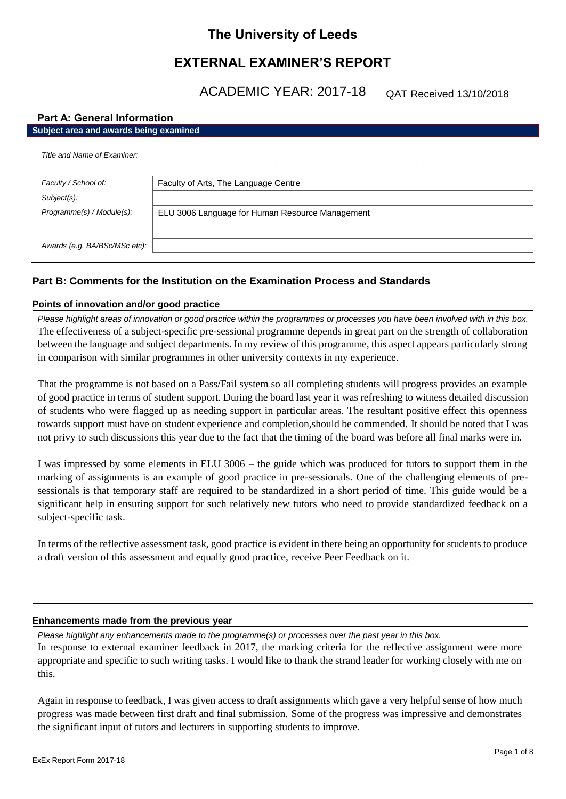# **The University of Leeds**

# **EXTERNAL EXAMINER'S REPORT**

ACADEMIC YEAR: 2017-18

QAT Received 13/10/2018

# **Part A: General Information Subject area and awards being examined**

| Title and Name of Examiner:            |                                                 |  |
|----------------------------------------|-------------------------------------------------|--|
| Faculty / School of:<br>$Subject(s)$ : | Faculty of Arts, The Language Centre            |  |
| Programme(s) / Module(s):              | ELU 3006 Language for Human Resource Management |  |
| Awards (e.g. BA/BSc/MSc etc):          |                                                 |  |

# **Part B: Comments for the Institution on the Examination Process and Standards**

# **Points of innovation and/or good practice**

*Please highlight areas of innovation or good practice within the programmes or processes you have been involved with in this box.* The effectiveness of a subject-specific pre-sessional programme depends in great part on the strength of collaboration between the language and subject departments. In my review of this programme, this aspect appears particularly strong in comparison with similar programmes in other university contexts in my experience.

That the programme is not based on a Pass/Fail system so all completing students will progress provides an example of good practice in terms of student support. During the board last year it was refreshing to witness detailed discussion of students who were flagged up as needing support in particular areas. The resultant positive effect this openness towards support must have on student experience and completion,should be commended. It should be noted that I was not privy to such discussions this year due to the fact that the timing of the board was before all final marks were in.

I was impressed by some elements in ELU 3006 – the guide which was produced for tutors to support them in the marking of assignments is an example of good practice in pre-sessionals. One of the challenging elements of presessionals is that temporary staff are required to be standardized in a short period of time. This guide would be a significant help in ensuring support for such relatively new tutors who need to provide standardized feedback on a subject-specific task.

In terms of the reflective assessment task, good practice is evident in there being an opportunity for students to produce a draft version of this assessment and equally good practice, receive Peer Feedback on it.

### **Enhancements made from the previous year**

*Please highlight any enhancements made to the programme(s) or processes over the past year in this box.* In response to external examiner feedback in 2017, the marking criteria for the reflective assignment were more appropriate and specific to such writing tasks. I would like to thank the strand leader for working closely with me on this.

Again in response to feedback, I was given access to draft assignments which gave a very helpful sense of how much progress was made between first draft and final submission. Some of the progress was impressive and demonstrates the significant input of tutors and lecturers in supporting students to improve.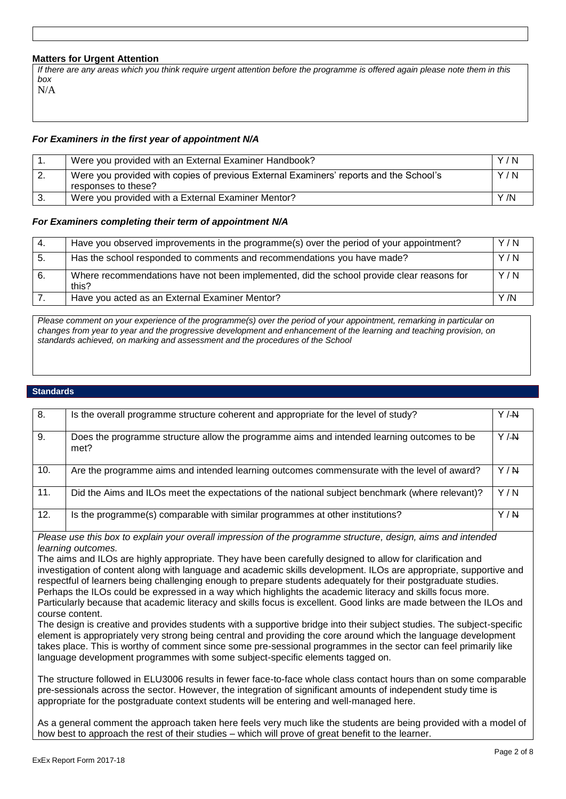# **Matters for Urgent Attention**

*If there are any areas which you think require urgent attention before the programme is offered again please note them in this box* N/A

# *For Examiners in the first year of appointment N/A*

|    | Were you provided with an External Examiner Handbook?                                                         | Y/N |
|----|---------------------------------------------------------------------------------------------------------------|-----|
| z. | Were you provided with copies of previous External Examiners' reports and the School's<br>responses to these? | Y/N |
|    | Were you provided with a External Examiner Mentor?                                                            | Y/N |

### *For Examiners completing their term of appointment N/A*

| -4. | Have you observed improvements in the programme(s) over the period of your appointment?            | Y/N  |
|-----|----------------------------------------------------------------------------------------------------|------|
| 5.  | Has the school responded to comments and recommendations you have made?                            | Y/N  |
| 6.  | Where recommendations have not been implemented, did the school provide clear reasons for<br>this? | Y/N  |
|     | Have you acted as an External Examiner Mentor?                                                     | Y /N |

*Please comment on your experience of the programme(s) over the period of your appointment, remarking in particular on changes from year to year and the progressive development and enhancement of the learning and teaching provision, on standards achieved, on marking and assessment and the procedures of the School*

### **Standards**

| 8.  | Is the overall programme structure coherent and appropriate for the level of study?                | Y/M   |
|-----|----------------------------------------------------------------------------------------------------|-------|
| 9.  | Does the programme structure allow the programme aims and intended learning outcomes to be<br>met? | Y/M   |
| 10. | Are the programme aims and intended learning outcomes commensurate with the level of award?        | Y/N   |
| 11. | Did the Aims and ILOs meet the expectations of the national subject benchmark (where relevant)?    | Y/N   |
| 12. | Is the programme(s) comparable with similar programmes at other institutions?                      | Y / N |

*Please use this box to explain your overall impression of the programme structure, design, aims and intended learning outcomes.*

The aims and ILOs are highly appropriate. They have been carefully designed to allow for clarification and investigation of content along with language and academic skills development. ILOs are appropriate, supportive and respectful of learners being challenging enough to prepare students adequately for their postgraduate studies. Perhaps the ILOs could be expressed in a way which highlights the academic literacy and skills focus more. Particularly because that academic literacy and skills focus is excellent. Good links are made between the ILOs and

course content. The design is creative and provides students with a supportive bridge into their subject studies. The subject-specific element is appropriately very strong being central and providing the core around which the language development takes place. This is worthy of comment since some pre-sessional programmes in the sector can feel primarily like language development programmes with some subject-specific elements tagged on.

The structure followed in ELU3006 results in fewer face-to-face whole class contact hours than on some comparable pre-sessionals across the sector. However, the integration of significant amounts of independent study time is appropriate for the postgraduate context students will be entering and well-managed here.

As a general comment the approach taken here feels very much like the students are being provided with a model of how best to approach the rest of their studies – which will prove of great benefit to the learner.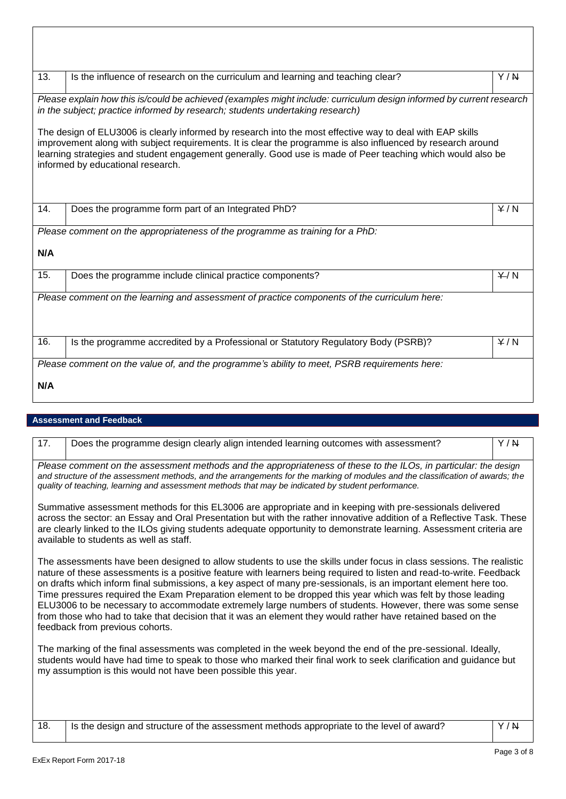| 13.                                                                                                                                                                                                                                                                                                                                                                           | Is the influence of research on the curriculum and learning and teaching clear?    | Y/N   |
|-------------------------------------------------------------------------------------------------------------------------------------------------------------------------------------------------------------------------------------------------------------------------------------------------------------------------------------------------------------------------------|------------------------------------------------------------------------------------|-------|
| Please explain how this is/could be achieved (examples might include: curriculum design informed by current research<br>in the subject; practice informed by research; students undertaking research)                                                                                                                                                                         |                                                                                    |       |
| The design of ELU3006 is clearly informed by research into the most effective way to deal with EAP skills<br>improvement along with subject requirements. It is clear the programme is also influenced by research around<br>learning strategies and student engagement generally. Good use is made of Peer teaching which would also be<br>informed by educational research. |                                                                                    |       |
| 14.                                                                                                                                                                                                                                                                                                                                                                           | Does the programme form part of an Integrated PhD?                                 | Y/N   |
| Please comment on the appropriateness of the programme as training for a PhD:                                                                                                                                                                                                                                                                                                 |                                                                                    |       |
| N/A                                                                                                                                                                                                                                                                                                                                                                           |                                                                                    |       |
| 15.                                                                                                                                                                                                                                                                                                                                                                           | Does the programme include clinical practice components?                           | $+/N$ |
| Please comment on the learning and assessment of practice components of the curriculum here:                                                                                                                                                                                                                                                                                  |                                                                                    |       |
| 16.                                                                                                                                                                                                                                                                                                                                                                           | Is the programme accredited by a Professional or Statutory Regulatory Body (PSRB)? | Y/N   |
| Please comment on the value of, and the programme's ability to meet, PSRB requirements here:                                                                                                                                                                                                                                                                                  |                                                                                    |       |
| N/A                                                                                                                                                                                                                                                                                                                                                                           |                                                                                    |       |

# **Assessment and Feedback**

| 17.                                                                                                                                                                                                                                                                                                                                                                                                                                                                                                                                                                                                                                                                                                                                             | Does the programme design clearly align intended learning outcomes with assessment?                                                                                                                                                                                                                                                                                                                   | Y/N |  |
|-------------------------------------------------------------------------------------------------------------------------------------------------------------------------------------------------------------------------------------------------------------------------------------------------------------------------------------------------------------------------------------------------------------------------------------------------------------------------------------------------------------------------------------------------------------------------------------------------------------------------------------------------------------------------------------------------------------------------------------------------|-------------------------------------------------------------------------------------------------------------------------------------------------------------------------------------------------------------------------------------------------------------------------------------------------------------------------------------------------------------------------------------------------------|-----|--|
| Please comment on the assessment methods and the appropriateness of these to the ILOs, in particular: the design<br>and structure of the assessment methods, and the arrangements for the marking of modules and the classification of awards; the<br>quality of teaching, learning and assessment methods that may be indicated by student performance.                                                                                                                                                                                                                                                                                                                                                                                        |                                                                                                                                                                                                                                                                                                                                                                                                       |     |  |
|                                                                                                                                                                                                                                                                                                                                                                                                                                                                                                                                                                                                                                                                                                                                                 | Summative assessment methods for this EL3006 are appropriate and in keeping with pre-sessionals delivered<br>across the sector: an Essay and Oral Presentation but with the rather innovative addition of a Reflective Task. These<br>are clearly linked to the ILOs giving students adequate opportunity to demonstrate learning. Assessment criteria are<br>available to students as well as staff. |     |  |
| The assessments have been designed to allow students to use the skills under focus in class sessions. The realistic<br>nature of these assessments is a positive feature with learners being required to listen and read-to-write. Feedback<br>on drafts which inform final submissions, a key aspect of many pre-sessionals, is an important element here too.<br>Time pressures required the Exam Preparation element to be dropped this year which was felt by those leading<br>ELU3006 to be necessary to accommodate extremely large numbers of students. However, there was some sense<br>from those who had to take that decision that it was an element they would rather have retained based on the<br>feedback from previous cohorts. |                                                                                                                                                                                                                                                                                                                                                                                                       |     |  |
| The marking of the final assessments was completed in the week beyond the end of the pre-sessional. Ideally,<br>students would have had time to speak to those who marked their final work to seek clarification and guidance but<br>my assumption is this would not have been possible this year.                                                                                                                                                                                                                                                                                                                                                                                                                                              |                                                                                                                                                                                                                                                                                                                                                                                                       |     |  |
|                                                                                                                                                                                                                                                                                                                                                                                                                                                                                                                                                                                                                                                                                                                                                 |                                                                                                                                                                                                                                                                                                                                                                                                       |     |  |

| 18. | stable is the design and structure of the assessment methods appropriate to the level of award? | Y/N |
|-----|-------------------------------------------------------------------------------------------------|-----|
|     |                                                                                                 |     |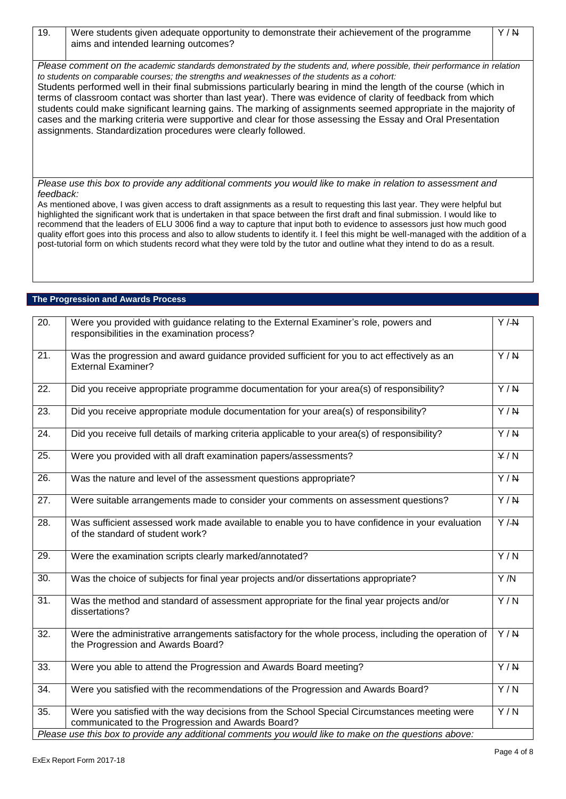19. Were students given adequate opportunity to demonstrate their achievement of the programme aims and intended learning outcomes?

*Please use this box to provide any additional comments you would like to make in relation to assessment and feedback:*

As mentioned above, I was given access to draft assignments as a result to requesting this last year. They were helpful but highlighted the significant work that is undertaken in that space between the first draft and final submission. I would like to recommend that the leaders of ELU 3006 find a way to capture that input both to evidence to assessors just how much good quality effort goes into this process and also to allow students to identify it. I feel this might be well-managed with the addition of a post-tutorial form on which students record what they were told by the tutor and outline what they intend to do as a result.

# **The Progression and Awards Process**

| $\overline{20}$ . | Were you provided with guidance relating to the External Examiner's role, powers and<br>responsibilities in the examination process?              | Y/H              |
|-------------------|---------------------------------------------------------------------------------------------------------------------------------------------------|------------------|
| 21.               | Was the progression and award guidance provided sufficient for you to act effectively as an<br><b>External Examiner?</b>                          | $\overline{Y/N}$ |
| 22.               | Did you receive appropriate programme documentation for your area(s) of responsibility?                                                           | $\overline{Y/N}$ |
| 23.               | Did you receive appropriate module documentation for your area(s) of responsibility?                                                              | $\overline{Y/N}$ |
| 24.               | Did you receive full details of marking criteria applicable to your area(s) of responsibility?                                                    | $\overline{Y/N}$ |
| 25.               | Were you provided with all draft examination papers/assessments?                                                                                  | $\overline{Y/N}$ |
| 26.               | Was the nature and level of the assessment questions appropriate?                                                                                 | $\overline{Y/N}$ |
| 27.               | Were suitable arrangements made to consider your comments on assessment questions?                                                                | Y/N              |
| $\overline{28}$ . | Was sufficient assessed work made available to enable you to have confidence in your evaluation<br>of the standard of student work?               | $\overline{Y/H}$ |
| $\overline{29}$ . | Were the examination scripts clearly marked/annotated?                                                                                            | $\overline{Y/N}$ |
| $\overline{30}$ . | Was the choice of subjects for final year projects and/or dissertations appropriate?                                                              | Y/N              |
| $\overline{31}$ . | Was the method and standard of assessment appropriate for the final year projects and/or<br>dissertations?                                        | $\overline{Y/N}$ |
| 32.               | Were the administrative arrangements satisfactory for the whole process, including the operation of<br>the Progression and Awards Board?          | $\overline{Y/N}$ |
| 33.               | Were you able to attend the Progression and Awards Board meeting?                                                                                 | $\overline{Y/N}$ |
| 34.               | Were you satisfied with the recommendations of the Progression and Awards Board?                                                                  | Y/N              |
| $\overline{35}$ . | Were you satisfied with the way decisions from the School Special Circumstances meeting were<br>communicated to the Progression and Awards Board? | $\overline{Y/N}$ |
|                   | Please use this box to provide any additional comments you would like to make on the questions above:                                             |                  |

Y / N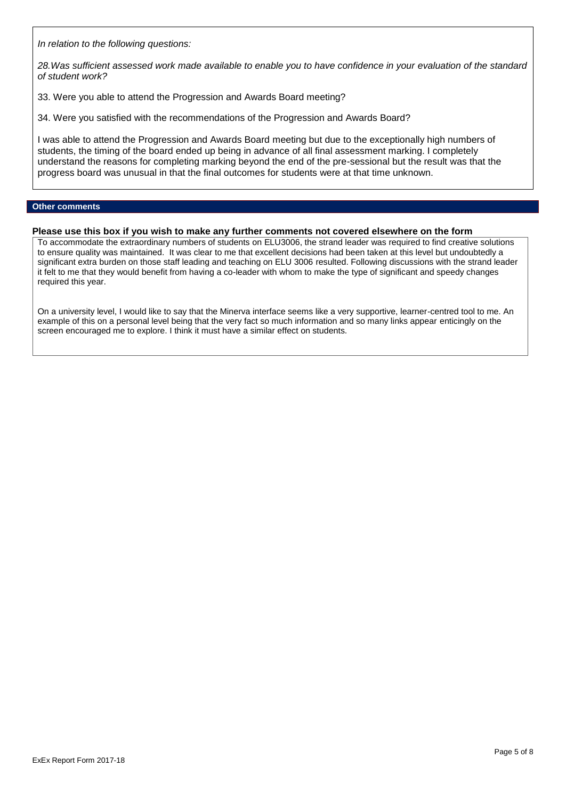*In relation to the following questions:*

*28.Was sufficient assessed work made available to enable you to have confidence in your evaluation of the standard of student work?*

33. Were you able to attend the Progression and Awards Board meeting?

34. Were you satisfied with the recommendations of the Progression and Awards Board?

I was able to attend the Progression and Awards Board meeting but due to the exceptionally high numbers of students, the timing of the board ended up being in advance of all final assessment marking. I completely understand the reasons for completing marking beyond the end of the pre-sessional but the result was that the progress board was unusual in that the final outcomes for students were at that time unknown.

# **Other comments**

### **Please use this box if you wish to make any further comments not covered elsewhere on the form**

To accommodate the extraordinary numbers of students on ELU3006, the strand leader was required to find creative solutions to ensure quality was maintained. It was clear to me that excellent decisions had been taken at this level but undoubtedly a significant extra burden on those staff leading and teaching on ELU 3006 resulted. Following discussions with the strand leader it felt to me that they would benefit from having a co-leader with whom to make the type of significant and speedy changes required this year.

On a university level, I would like to say that the Minerva interface seems like a very supportive, learner-centred tool to me. An example of this on a personal level being that the very fact so much information and so many links appear enticingly on the screen encouraged me to explore. I think it must have a similar effect on students.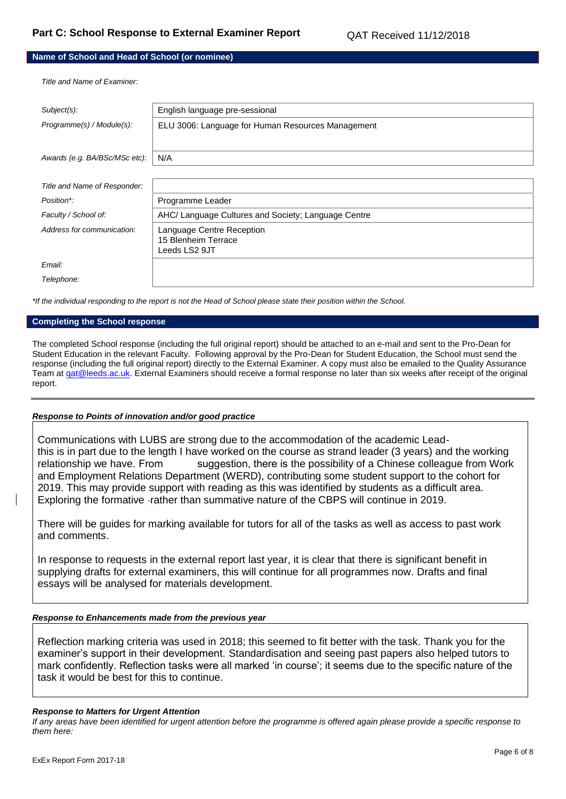# **Name of School and Head of School (or nominee)**

*Title and Name of Examiner:*

| Subject(s):                   | English language pre-sessional                      |
|-------------------------------|-----------------------------------------------------|
| Programme(s) / Module(s):     | ELU 3006: Language for Human Resources Management   |
|                               |                                                     |
| Awards (e.g. BA/BSc/MSc etc): | N/A                                                 |
|                               |                                                     |
| Title and Name of Responder:  |                                                     |
| Position*:                    | Programme Leader                                    |
| Faculty / School of:          | AHC/ Language Cultures and Society; Language Centre |
| Address for communication:    | Language Centre Reception                           |
|                               | 15 Blenheim Terrace                                 |
|                               | Leeds LS2 9JT                                       |
| Email:                        |                                                     |
| Telephone:                    |                                                     |

*\*If the individual responding to the report is not the Head of School please state their position within the School.*

### **Completing the School response**

The completed School response (including the full original report) should be attached to an e-mail and sent to the Pro-Dean for Student Education in the relevant Faculty. Following approval by the Pro-Dean for Student Education, the School must send the response (including the full original report) directly to the External Examiner. A copy must also be emailed to the Quality Assurance Team at gat@leeds.ac.uk. External Examiners should receive a formal response no later than six weeks after receipt of the original report.

### *Response to Points of innovation and/or good practice*

Communications with LUBS are strong due to the accommodation of the academic Leadthis is in part due to the length I have worked on the course as strand leader (3 years) and the working relationship we have. From suggestion, there is the possibility of a Chinese colleague from Work and Employment Relations Department (WERD), contributing some student support to the cohort for 2019. This may provide support with reading as this was identified by students as a difficult area. Exploring the formative -rather than summative nature of the CBPS will continue in 2019.

There will be guides for marking available for tutors for all of the tasks as well as access to past work and comments.

In response to requests in the external report last year, it is clear that there is significant benefit in supplying drafts for external examiners, this will continue for all programmes now. Drafts and final essays will be analysed for materials development.

### *Response to Enhancements made from the previous year*

Reflection marking criteria was used in 2018; this seemed to fit better with the task. Thank you for the examiner's support in their development. Standardisation and seeing past papers also helped tutors to mark confidently. Reflection tasks were all marked 'in course'; it seems due to the specific nature of the task it would be best for this to continue.

### *Response to Matters for Urgent Attention*

*If any areas have been identified for urgent attention before the programme is offered again please provide a specific response to them here:*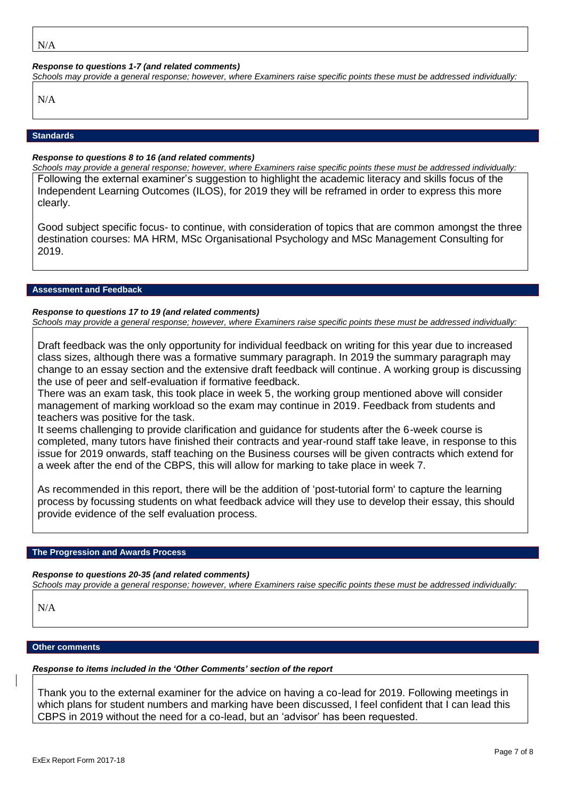### *Response to questions 1-7 (and related comments)*

*Schools may provide a general response; however, where Examiners raise specific points these must be addressed individually:*

N/A

# **Standards**

### *Response to questions 8 to 16 (and related comments)*

*Schools may provide a general response; however, where Examiners raise specific points these must be addressed individually:* Following the external examiner's suggestion to highlight the academic literacy and skills focus of the Independent Learning Outcomes (ILOS), for 2019 they will be reframed in order to express this more clearly.

Good subject specific focus- to continue, with consideration of topics that are common amongst the three destination courses: MA HRM, MSc Organisational Psychology and MSc Management Consulting for 2019.

### **Assessment and Feedback**

# *Response to questions 17 to 19 (and related comments)*

*Schools may provide a general response; however, where Examiners raise specific points these must be addressed individually:*

Draft feedback was the only opportunity for individual feedback on writing for this year due to increased class sizes, although there was a formative summary paragraph. In 2019 the summary paragraph may change to an essay section and the extensive draft feedback will continue. A working group is discussing the use of peer and self-evaluation if formative feedback.

There was an exam task, this took place in week 5, the working group mentioned above will consider management of marking workload so the exam may continue in 2019. Feedback from students and teachers was positive for the task.

It seems challenging to provide clarification and guidance for students after the 6-week course is completed, many tutors have finished their contracts and year-round staff take leave, in response to this issue for 2019 onwards, staff teaching on the Business courses will be given contracts which extend for a week after the end of the CBPS, this will allow for marking to take place in week 7.

As recommended in this report, there will be the addition of 'post-tutorial form' to capture the learning process by focussing students on what feedback advice will they use to develop their essay, this should provide evidence of the self evaluation process.

### **The Progression and Awards Process**

*Response to questions 20-35 (and related comments)*

*Schools may provide a general response; however, where Examiners raise specific points these must be addressed individually:*

N/A

# **Other comments**

# *Response to items included in the 'Other Comments' section of the report*

Thank you to the external examiner for the advice on having a co-lead for 2019. Following meetings in which plans for student numbers and marking have been discussed, I feel confident that I can lead this CBPS in 2019 without the need for a co-lead, but an 'advisor' has been requested.